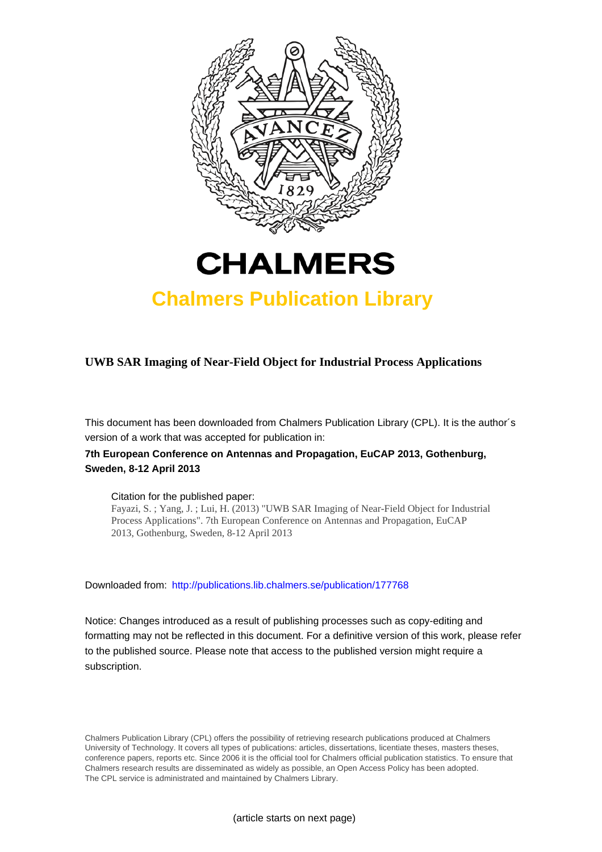



# **Chalmers Publication Library**

## **UWB SAR Imaging of Near-Field Object for Industrial Process Applications**

This document has been downloaded from Chalmers Publication Library (CPL). It is the author´s version of a work that was accepted for publication in:

### **7th European Conference on Antennas and Propagation, EuCAP 2013, Gothenburg, Sweden, 8-12 April 2013**

#### Citation for the published paper:

Fayazi, S. ; Yang, J. ; Lui, H. (2013) "UWB SAR Imaging of Near-Field Object for Industrial Process Applications". 7th European Conference on Antennas and Propagation, EuCAP 2013, Gothenburg, Sweden, 8-12 April 2013

Downloaded from: <http://publications.lib.chalmers.se/publication/177768>

Notice: Changes introduced as a result of publishing processes such as copy-editing and formatting may not be reflected in this document. For a definitive version of this work, please refer to the published source. Please note that access to the published version might require a subscription.

Chalmers Publication Library (CPL) offers the possibility of retrieving research publications produced at Chalmers University of Technology. It covers all types of publications: articles, dissertations, licentiate theses, masters theses, conference papers, reports etc. Since 2006 it is the official tool for Chalmers official publication statistics. To ensure that Chalmers research results are disseminated as widely as possible, an Open Access Policy has been adopted. The CPL service is administrated and maintained by Chalmers Library.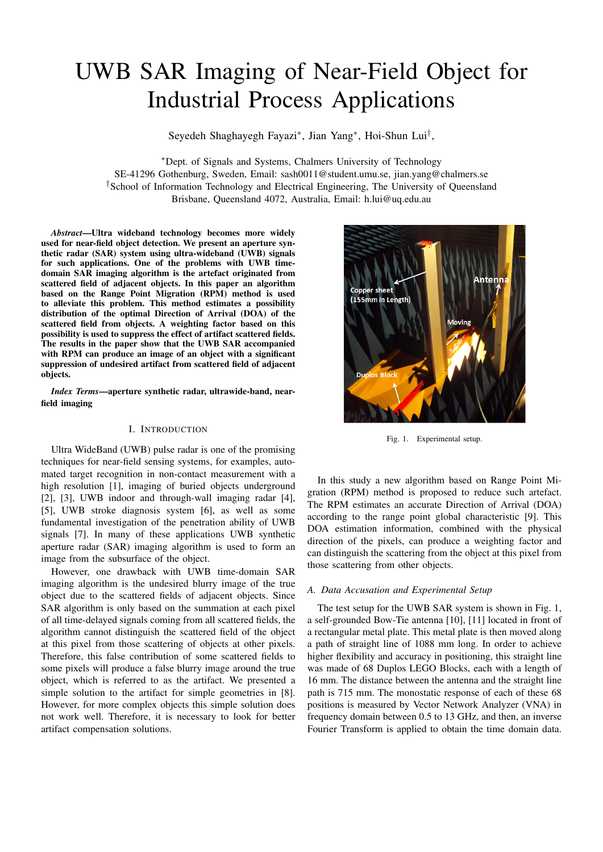# UWB SAR Imaging of Near-Field Object for Industrial Process Applications

Seyedeh Shaghayegh Fayazi*∗* , Jian Yang*∗* , Hoi-Shun Lui*†* ,

*∗*Dept. of Signals and Systems, Chalmers University of Technology SE-41296 Gothenburg, Sweden, Email: sash0011@student.umu.se, jian.yang@chalmers.se *†*School of Information Technology and Electrical Engineering, The University of Queensland Brisbane, Queensland 4072, Australia, Email: h.lui@uq.edu.au

*Abstract*—Ultra wideband technology becomes more widely used for near-field object detection. We present an aperture synthetic radar (SAR) system using ultra-wideband (UWB) signals for such applications. One of the problems with UWB timedomain SAR imaging algorithm is the artefact originated from scattered field of adjacent objects. In this paper an algorithm based on the Range Point Migration (RPM) method is used to alleviate this problem. This method estimates a possibility distribution of the optimal Direction of Arrival (DOA) of the scattered field from objects. A weighting factor based on this possibility is used to suppress the effect of artifact scattered fields. The results in the paper show that the UWB SAR accompanied with RPM can produce an image of an object with a significant suppression of undesired artifact from scattered field of adjacent objects.

*Index Terms*—aperture synthetic radar, ultrawide-band, nearfield imaging

#### I. INTRODUCTION

Ultra WideBand (UWB) pulse radar is one of the promising techniques for near-field sensing systems, for examples, automated target recognition in non-contact measurement with a high resolution [1], imaging of buried objects underground [2], [3], UWB indoor and through-wall imaging radar [4], [5], UWB stroke diagnosis system [6], as well as some fundamental investigation of the penetration ability of UWB signals [7]. In many of these applications UWB synthetic aperture radar (SAR) imaging algorithm is used to form an image from the subsurface of the object.

However, one drawback with UWB time-domain SAR imaging algorithm is the undesired blurry image of the true object due to the scattered fields of adjacent objects. Since SAR algorithm is only based on the summation at each pixel of all time-delayed signals coming from all scattered fields, the algorithm cannot distinguish the scattered field of the object at this pixel from those scattering of objects at other pixels. Therefore, this false contribution of some scattered fields to some pixels will produce a false blurry image around the true object, which is referred to as the artifact. We presented a simple solution to the artifact for simple geometries in [8]. However, for more complex objects this simple solution does not work well. Therefore, it is necessary to look for better artifact compensation solutions.



Fig. 1. Experimental setup.

In this study a new algorithm based on Range Point Migration (RPM) method is proposed to reduce such artefact. The RPM estimates an accurate Direction of Arrival (DOA) according to the range point global characteristic [9]. This DOA estimation information, combined with the physical direction of the pixels, can produce a weighting factor and can distinguish the scattering from the object at this pixel from those scattering from other objects.

#### *A. Data Accusation and Experimental Setup*

The test setup for the UWB SAR system is shown in Fig. 1, a self-grounded Bow-Tie antenna [10], [11] located in front of a rectangular metal plate. This metal plate is then moved along a path of straight line of 1088 mm long. In order to achieve higher flexibility and accuracy in positioning, this straight line was made of 68 Duplos LEGO Blocks, each with a length of 16 mm. The distance between the antenna and the straight line path is 715 mm. The monostatic response of each of these 68 positions is measured by Vector Network Analyzer (VNA) in frequency domain between 0.5 to 13 GHz, and then, an inverse Fourier Transform is applied to obtain the time domain data.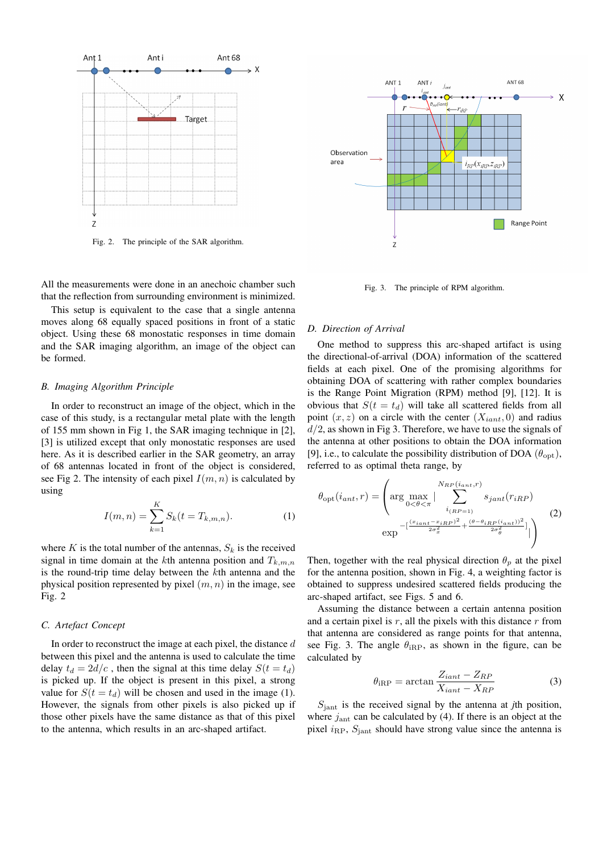

Fig. 2. The principle of the SAR algorithm.

All the measurements were done in an anechoic chamber such that the reflection from surrounding environment is minimized.

This setup is equivalent to the case that a single antenna moves along 68 equally spaced positions in front of a static object. Using these 68 monostatic responses in time domain and the SAR imaging algorithm, an image of the object can be formed.

#### *B. Imaging Algorithm Principle*

In order to reconstruct an image of the object, which in the case of this study, is a rectangular metal plate with the length of 155 mm shown in Fig 1, the SAR imaging technique in [2], [3] is utilized except that only monostatic responses are used here. As it is described earlier in the SAR geometry, an array of 68 antennas located in front of the object is considered, see Fig 2. The intensity of each pixel  $I(m, n)$  is calculated by using

$$
I(m,n) = \sum_{k=1}^{K} S_k(t = T_{k,m,n}).
$$
 (1)

where  $K$  is the total number of the antennas,  $S_k$  is the received signal in time domain at the *k*th antenna position and  $T_{k,m,n}$ is the round-trip time delay between the *k*th antenna and the physical position represented by pixel (*m, n*) in the image, see Fig. 2

#### *C. Artefact Concept*

In order to reconstruct the image at each pixel, the distance *d* between this pixel and the antenna is used to calculate the time delay  $t_d = 2d/c$ , then the signal at this time delay  $S(t = t_d)$ is picked up. If the object is present in this pixel, a strong value for  $S(t = t_d)$  will be chosen and used in the image (1). However, the signals from other pixels is also picked up if those other pixels have the same distance as that of this pixel to the antenna, which results in an arc-shaped artifact.



Fig. 3. The principle of RPM algorithm.

#### *D. Direction of Arrival*

One method to suppress this arc-shaped artifact is using the directional-of-arrival (DOA) information of the scattered fields at each pixel. One of the promising algorithms for obtaining DOA of scattering with rather complex boundaries is the Range Point Migration (RPM) method [9], [12]. It is obvious that  $S(t = t_d)$  will take all scattered fields from all point  $(x, z)$  on a circle with the center  $(X_{iant}, 0)$  and radius *d/*2, as shown in Fig 3. Therefore, we have to use the signals of the antenna at other positions to obtain the DOA information [9], i.e., to calculate the possibility distribution of DOA  $(\theta_{\text{opt}})$ , referred to as optimal theta range, by

$$
\theta_{\rm opt}(i_{ant}, r) = \left( \arg \max_{0 < \theta < \pi} |\sum_{i_{(RP=1)}}^{N_{RP}(i_{ant}, r)} s_{jant}(r_{iRP}) \right) \n \exp \left[-\frac{(x_{iant} - x_{iRP})^2}{2\sigma_x^2} + \frac{(\theta - \theta_{iRP}(i_{ant}))^2}{2\sigma_\theta^2}\right] \right) \tag{2}
$$

Then, together with the real physical direction  $\theta_p$  at the pixel for the antenna position, shown in Fig. 4, a weighting factor is obtained to suppress undesired scattered fields producing the arc-shaped artifact, see Figs. 5 and 6.

Assuming the distance between a certain antenna position and a certain pixel is *r*, all the pixels with this distance *r* from that antenna are considered as range points for that antenna, see Fig. 3. The angle  $\theta_{\text{iRP}}$ , as shown in the figure, can be calculated by

$$
\theta_{\text{iRP}} = \arctan \frac{Z_{iant} - Z_{RP}}{X_{iant} - X_{RP}}
$$
\n(3)

*S*jant is the received signal by the antenna at *j*th position, where  $j<sub>ant</sub>$  can be calculated by (4). If there is an object at the pixel  $i_{\rm RP}$ ,  $S_{\rm iant}$  should have strong value since the antenna is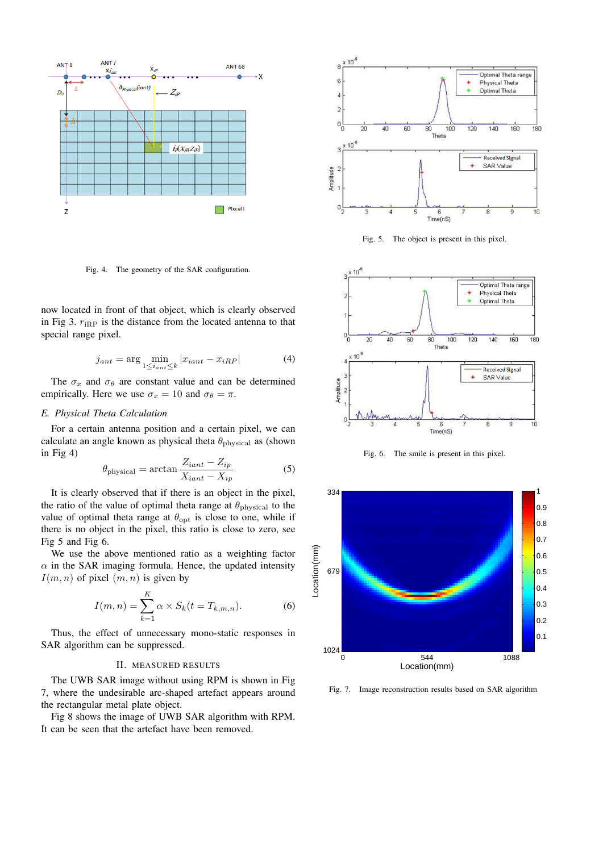

Fig. 4. The geometry of the SAR configuration.

now located in front of that object, which is clearly observed in Fig 3.  $r_{\text{iRP}}$  is the distance from the located antenna to that special range pixel.

$$
j_{ant} = \arg\min_{1 \le i_{ant} \le k} |x_{iant} - x_{iRP}| \tag{4}
$$

The  $\sigma_x$  and  $\sigma_\theta$  are constant value and can be determined empirically. Here we use  $\sigma_x = 10$  and  $\sigma_\theta = \pi$ .

#### *E. Physical Theta Calculation*

For a certain antenna position and a certain pixel, we can calculate an angle known as physical theta  $\theta_{\text{physical}}$  as (shown in Fig 4)

$$
\theta_{\text{physical}} = \arctan \frac{Z_{iant} - Z_{ip}}{X_{iant} - X_{ip}} \tag{5}
$$

It is clearly observed that if there is an object in the pixel, the ratio of the value of optimal theta range at *θ*<sub>physical</sub> to the value of optimal theta range at  $\theta_{\text{opt}}$  is close to one, while if there is no object in the pixel, this ratio is close to zero, see Fig 5 and Fig 6.

We use the above mentioned ratio as a weighting factor  $\alpha$  in the SAR imaging formula. Hence, the updated intensity  $I(m, n)$  of pixel  $(m, n)$  is given by

$$
I(m, n) = \sum_{k=1}^{K} \alpha \times S_k(t = T_{k, m, n}).
$$
 (6)

Thus, the effect of unnecessary mono-static responses in SAR algorithm can be suppressed.

#### II. MEASURED RESULTS

The UWB SAR image without using RPM is shown in Fig 7, where the undesirable arc-shaped artefact appears around the rectangular metal plate object.

Fig 8 shows the image of UWB SAR algorithm with RPM. It can be seen that the artefact have been removed.



Fig. 5. The object is present in this pixel.



Fig. 6. The smile is present in this pixel.



Fig. 7. Image reconstruction results based on SAR algorithm